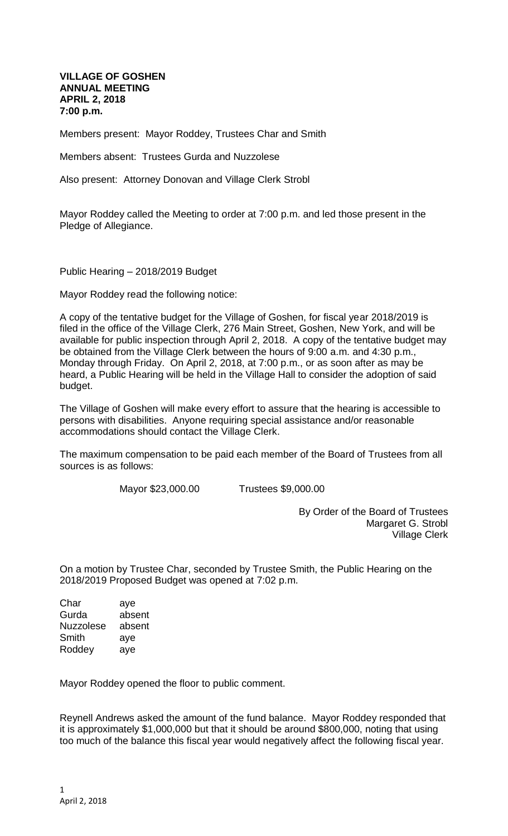**VILLAGE OF GOSHEN ANNUAL MEETING APRIL 2, 2018 7:00 p.m.**

Members present: Mayor Roddey, Trustees Char and Smith

Members absent: Trustees Gurda and Nuzzolese

Also present: Attorney Donovan and Village Clerk Strobl

Mayor Roddey called the Meeting to order at 7:00 p.m. and led those present in the Pledge of Allegiance.

Public Hearing – 2018/2019 Budget

Mayor Roddey read the following notice:

A copy of the tentative budget for the Village of Goshen, for fiscal year 2018/2019 is filed in the office of the Village Clerk, 276 Main Street, Goshen, New York, and will be available for public inspection through April 2, 2018. A copy of the tentative budget may be obtained from the Village Clerk between the hours of 9:00 a.m. and 4:30 p.m., Monday through Friday. On April 2, 2018, at 7:00 p.m., or as soon after as may be heard, a Public Hearing will be held in the Village Hall to consider the adoption of said budget.

The Village of Goshen will make every effort to assure that the hearing is accessible to persons with disabilities. Anyone requiring special assistance and/or reasonable accommodations should contact the Village Clerk.

The maximum compensation to be paid each member of the Board of Trustees from all sources is as follows:

Mayor \$23,000.00 Trustees \$9,000.00

By Order of the Board of Trustees Margaret G. Strobl Village Clerk

On a motion by Trustee Char, seconded by Trustee Smith, the Public Hearing on the 2018/2019 Proposed Budget was opened at 7:02 p.m.

Char aye Gurda absent Nuzzolese absent Smith aye Roddey aye

Mayor Roddey opened the floor to public comment.

Reynell Andrews asked the amount of the fund balance. Mayor Roddey responded that it is approximately \$1,000,000 but that it should be around \$800,000, noting that using too much of the balance this fiscal year would negatively affect the following fiscal year.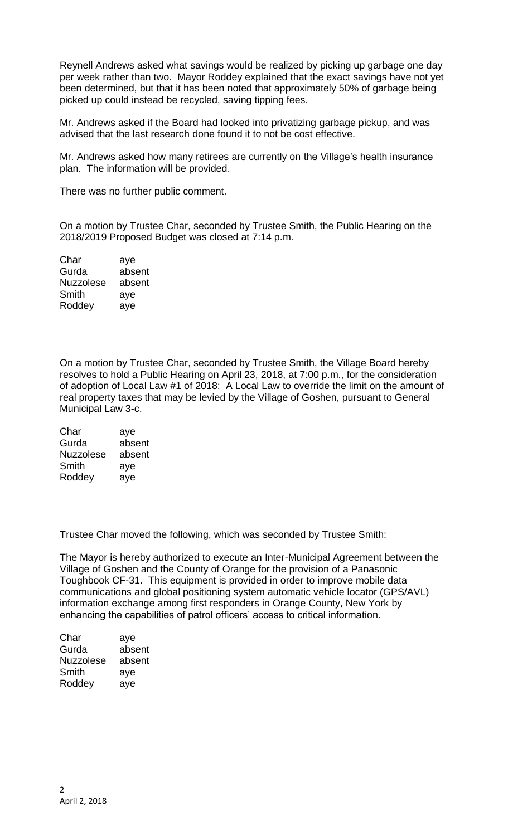Reynell Andrews asked what savings would be realized by picking up garbage one day per week rather than two. Mayor Roddey explained that the exact savings have not yet been determined, but that it has been noted that approximately 50% of garbage being picked up could instead be recycled, saving tipping fees.

Mr. Andrews asked if the Board had looked into privatizing garbage pickup, and was advised that the last research done found it to not be cost effective.

Mr. Andrews asked how many retirees are currently on the Village's health insurance plan. The information will be provided.

There was no further public comment.

On a motion by Trustee Char, seconded by Trustee Smith, the Public Hearing on the 2018/2019 Proposed Budget was closed at 7:14 p.m.

| Char             | aye    |
|------------------|--------|
| Gurda            | absent |
| <b>Nuzzolese</b> | absent |
| Smith            | aye    |
| Roddey           | aye    |

On a motion by Trustee Char, seconded by Trustee Smith, the Village Board hereby resolves to hold a Public Hearing on April 23, 2018, at 7:00 p.m., for the consideration of adoption of Local Law #1 of 2018: A Local Law to override the limit on the amount of real property taxes that may be levied by the Village of Goshen, pursuant to General Municipal Law 3-c.

| Char      | aye    |
|-----------|--------|
| Gurda     | absent |
| Nuzzolese | absent |
| Smith     | aye    |
| Roddey    | aye    |

Trustee Char moved the following, which was seconded by Trustee Smith:

The Mayor is hereby authorized to execute an Inter-Municipal Agreement between the Village of Goshen and the County of Orange for the provision of a Panasonic Toughbook CF-31. This equipment is provided in order to improve mobile data communications and global positioning system automatic vehicle locator (GPS/AVL) information exchange among first responders in Orange County, New York by enhancing the capabilities of patrol officers' access to critical information.

| Char      | aye    |
|-----------|--------|
| Gurda     | absent |
| Nuzzolese | absent |
| Smith     | aye    |
| Roddey    | aye    |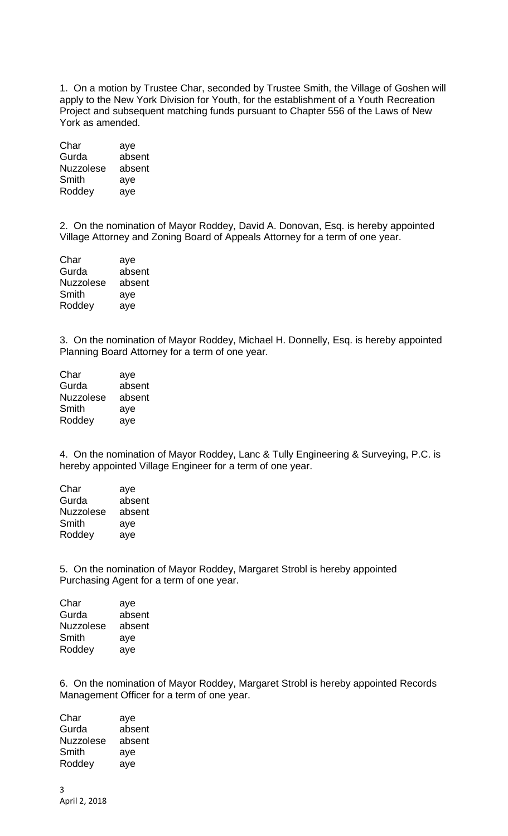1. On a motion by Trustee Char, seconded by Trustee Smith, the Village of Goshen will apply to the New York Division for Youth, for the establishment of a Youth Recreation Project and subsequent matching funds pursuant to Chapter 556 of the Laws of New York as amended.

| Char             | aye    |
|------------------|--------|
| Gurda            | absent |
| <b>Nuzzolese</b> | absent |
| Smith            | aye    |
| Roddey           | aye    |

2. On the nomination of Mayor Roddey, David A. Donovan, Esq. is hereby appointed Village Attorney and Zoning Board of Appeals Attorney for a term of one year.

| aye    |
|--------|
| absent |
| absent |
| aye    |
| aye    |
|        |

3. On the nomination of Mayor Roddey, Michael H. Donnelly, Esq. is hereby appointed Planning Board Attorney for a term of one year.

| Char             | aye    |
|------------------|--------|
| Gurda            | absent |
| <b>Nuzzolese</b> | absent |
| Smith            | aye    |
| Roddey           | aye    |
|                  |        |

4. On the nomination of Mayor Roddey, Lanc & Tully Engineering & Surveying, P.C. is hereby appointed Village Engineer for a term of one year.

| aye    |
|--------|
| absent |
| absent |
| aye    |
| ave    |
|        |

5. On the nomination of Mayor Roddey, Margaret Strobl is hereby appointed Purchasing Agent for a term of one year.

| Char             | aye    |
|------------------|--------|
| Gurda            | absent |
| <b>Nuzzolese</b> | absent |
| Smith            | aye    |
| Roddey           | aye    |
|                  |        |

6. On the nomination of Mayor Roddey, Margaret Strobl is hereby appointed Records Management Officer for a term of one year.

| Char      | aye    |
|-----------|--------|
| Gurda     | absent |
| Nuzzolese | absent |
| Smith     | aye    |
| Roddey    | ave    |
|           |        |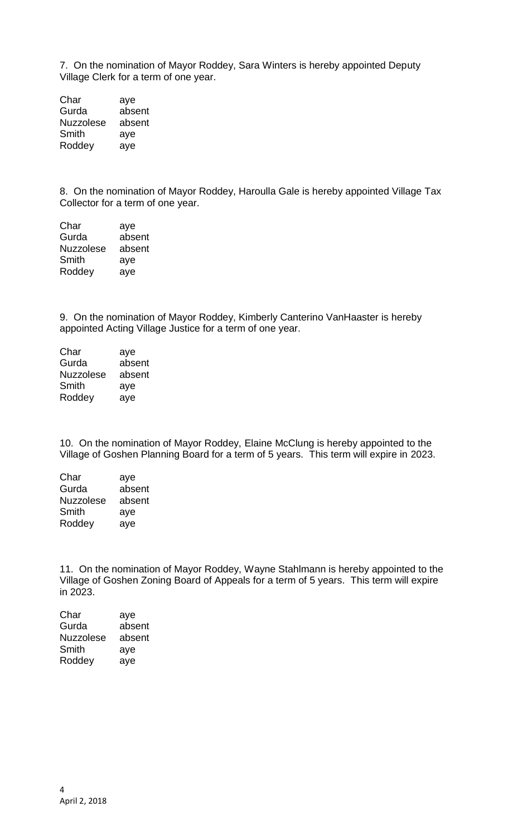7. On the nomination of Mayor Roddey, Sara Winters is hereby appointed Deputy Village Clerk for a term of one year.

| Char             | aye    |
|------------------|--------|
| Gurda            | absent |
| <b>Nuzzolese</b> | absent |
| Smith            | aye    |
| Roddey           | aye    |

8. On the nomination of Mayor Roddey, Haroulla Gale is hereby appointed Village Tax Collector for a term of one year.

| aye    |
|--------|
| absent |
| absent |
| aye    |
| aye    |
|        |

9. On the nomination of Mayor Roddey, Kimberly Canterino VanHaaster is hereby appointed Acting Village Justice for a term of one year.

| aye    |
|--------|
| absent |
| absent |
| aye    |
| aye    |
|        |

10. On the nomination of Mayor Roddey, Elaine McClung is hereby appointed to the Village of Goshen Planning Board for a term of 5 years. This term will expire in 2023.

| Char             | aye    |
|------------------|--------|
| Gurda            | absent |
| <b>Nuzzolese</b> | absent |
| Smith            | aye    |
| Roddey           | ave    |
|                  |        |

11. On the nomination of Mayor Roddey, Wayne Stahlmann is hereby appointed to the Village of Goshen Zoning Board of Appeals for a term of 5 years. This term will expire in 2023.

| Char             | aye    |
|------------------|--------|
| Gurda            | absent |
| <b>Nuzzolese</b> | absent |
| Smith            | aye    |
| Roddey           | aye    |
|                  |        |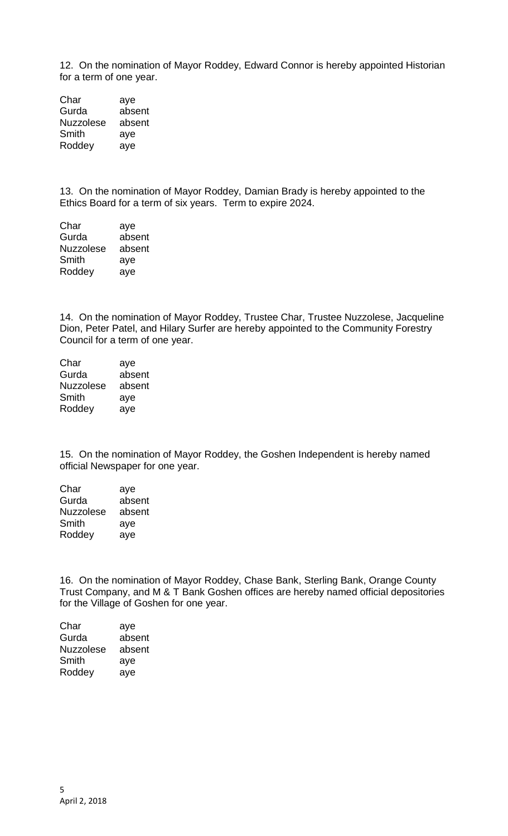12. On the nomination of Mayor Roddey, Edward Connor is hereby appointed Historian for a term of one year.

Char aye Gurda absent Nuzzolese absent Smith aye Roddey aye

13. On the nomination of Mayor Roddey, Damian Brady is hereby appointed to the Ethics Board for a term of six years. Term to expire 2024.

| Char             | aye    |
|------------------|--------|
| Gurda            | absent |
| <b>Nuzzolese</b> | absent |
| Smith            | aye    |
| Roddey           | aye    |

14. On the nomination of Mayor Roddey, Trustee Char, Trustee Nuzzolese, Jacqueline Dion, Peter Patel, and Hilary Surfer are hereby appointed to the Community Forestry Council for a term of one year.

| Char             | aye    |
|------------------|--------|
| Gurda            | absent |
| <b>Nuzzolese</b> | absent |
| Smith            | aye    |
| Roddey           | aye    |

15. On the nomination of Mayor Roddey, the Goshen Independent is hereby named official Newspaper for one year.

| Char             | aye    |
|------------------|--------|
| Gurda            | absent |
| <b>Nuzzolese</b> | absent |
| Smith            | aye    |
| Roddey           | ave    |

16. On the nomination of Mayor Roddey, Chase Bank, Sterling Bank, Orange County Trust Company, and M & T Bank Goshen offices are hereby named official depositories for the Village of Goshen for one year.

| Char             | aye    |
|------------------|--------|
| Gurda            | absent |
| <b>Nuzzolese</b> | absent |
| Smith            | aye    |
| Roddey           | aye    |
|                  |        |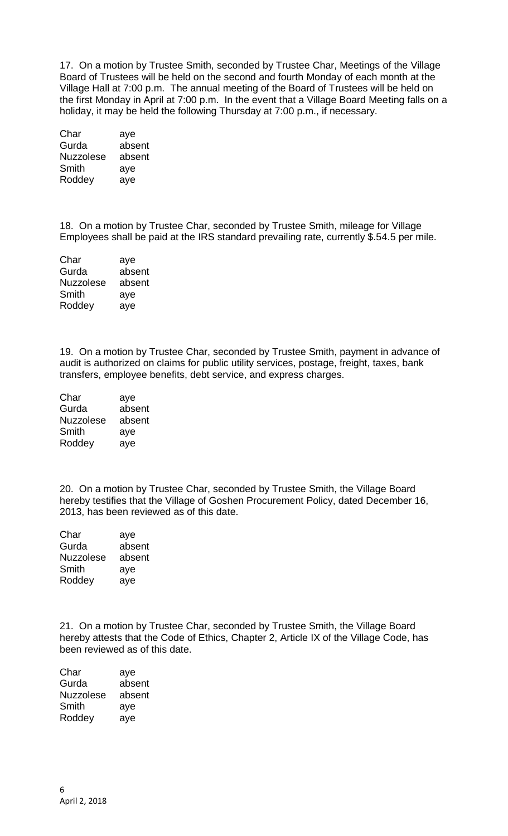17. On a motion by Trustee Smith, seconded by Trustee Char, Meetings of the Village Board of Trustees will be held on the second and fourth Monday of each month at the Village Hall at 7:00 p.m. The annual meeting of the Board of Trustees will be held on the first Monday in April at 7:00 p.m. In the event that a Village Board Meeting falls on a holiday, it may be held the following Thursday at 7:00 p.m., if necessary.

| aye    |
|--------|
| absent |
| absent |
| aye    |
| aye    |
|        |

18. On a motion by Trustee Char, seconded by Trustee Smith, mileage for Village Employees shall be paid at the IRS standard prevailing rate, currently \$.54.5 per mile.

| aye    |
|--------|
| absent |
| absent |
| aye    |
| aye    |
|        |

19. On a motion by Trustee Char, seconded by Trustee Smith, payment in advance of audit is authorized on claims for public utility services, postage, freight, taxes, bank transfers, employee benefits, debt service, and express charges.

| aye    |
|--------|
| absent |
| absent |
| aye    |
| aye    |
|        |

20. On a motion by Trustee Char, seconded by Trustee Smith, the Village Board hereby testifies that the Village of Goshen Procurement Policy, dated December 16, 2013, has been reviewed as of this date.

| Char             | aye    |
|------------------|--------|
| Gurda            | absent |
| <b>Nuzzolese</b> | absent |
| Smith            | aye    |
| Roddey           | aye    |
|                  |        |

21. On a motion by Trustee Char, seconded by Trustee Smith, the Village Board hereby attests that the Code of Ethics, Chapter 2, Article IX of the Village Code, has been reviewed as of this date.

| Char      | aye    |
|-----------|--------|
| Gurda     | absent |
| Nuzzolese | absent |
| Smith     | aye    |
| Roddey    | aye    |
|           |        |